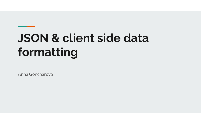# **JSON & client side data formatting**

Anna Goncharova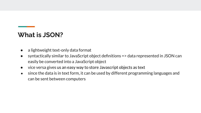#### **What is JSON?**

- a lightweight text-only data format
- syntactically similar to JavaScript object definitions => data represented in JSON can easily be converted into a JavaScript object
- vice versa gives us an easy way to store Javascript objects as text
- since the data is in text form, it can be used by different programming languages and can be sent between computers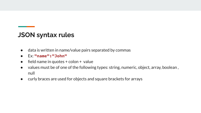#### **JSON syntax rules**

- data is written in name/value pairs separated by commas
- Ex: **"name":"John"**
- $\bullet$  field name in quotes + colon + value
- values must be of one of the following types: string, numeric, object, array, boolean, null
- curly braces are used for objects and square brackets for arrays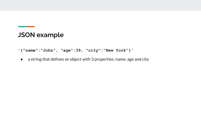#### **JSON example**

**'{"name":"John", "age":39, "city":"New York"}'**

● a string that defines an object with 3 properties: name, age and city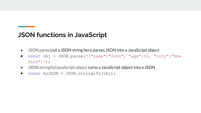### **JSON functions in JavaScript**

- JSON.parse(put a JSON string here parses JSON into a JavaScript object
- const obj = JSON.parse('{"name":"John", "age":30, "city":"New  $York"$ }');
- JSON.stringify(JavaScript object turns a JavaScript object into a JSON
- $\bullet$  const myJSON = JSON.stringify(obj);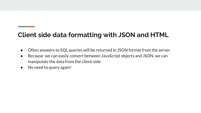## **Client side data formatting with JSON and HTML**

- Often answers to SQL queries will be returned in JSON format from the server
- Because we can easily convert between JavaScript objects and JSON, we can manipulate the data from the client-side
- No need to query again!